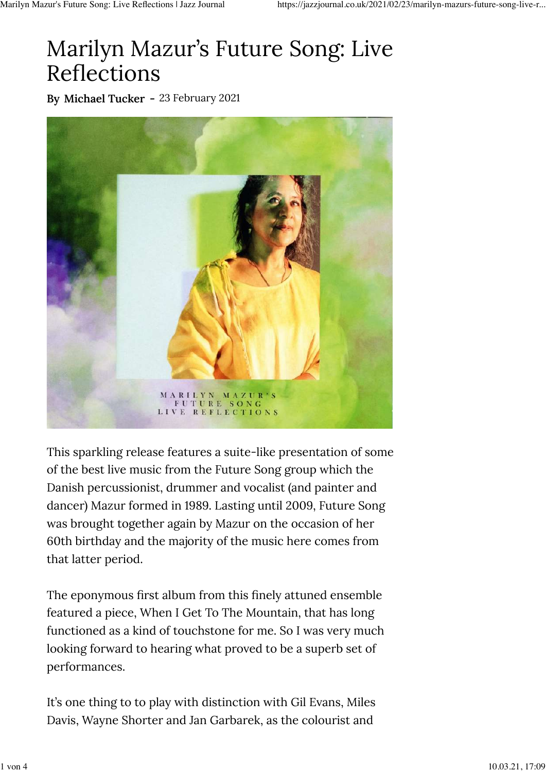## Marilyn Mazur's Future Song: Live Reflections

By Michael Tucker - 23 February 2021



This sparkling release features a suite-like presentation of some of the best live music from the Future Song group which the Danish percussionist, drummer and vocalist (and painter and dancer) Mazur formed in 1989. Lasting until 2009, Future Song was brought together again by Mazur on the occasion of her 60th birthday and the majority of the music here comes from that latter period.

The eponymous first album from this finely attuned ensemble featured a piece, When I Get To The Mountain, that has long functioned as a kind of touchstone for me. So I was very much looking forward to hearing what proved to be a superb set of performances.

It's one thing to to play with distinction with Gil Evans, Miles Davis, Wayne Shorter and Jan Garbarek, as the colourist and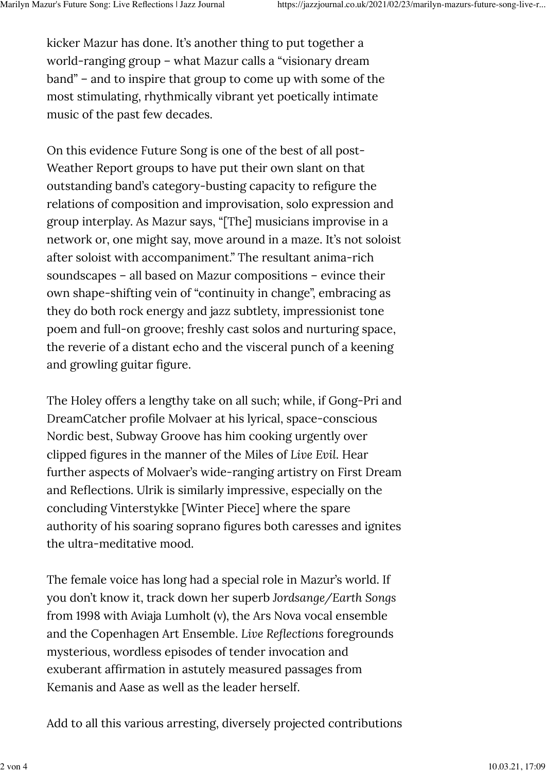kicker Mazur has done. It's another thing to put together a world-ranging group – what Mazur calls a "visionary dream band" – and to inspire that group to come up with some of the most stimulating, rhythmically vibrant yet poetically intimate music of the past few decades.

On this evidence Future Song is one of the best of all post-Weather Report groups to have put their own slant on that outstanding band's category-busting capacity to refigure the relations of composition and improvisation, solo expression and group interplay. As Mazur says, "[The] musicians improvise in a network or, one might say, move around in a maze. It's not soloist after soloist with accompaniment." The resultant anima-rich soundscapes – all based on Mazur compositions – evince their own shape-shifting vein of "continuity in change", embracing as they do both rock energy and jazz subtlety, impressionist tone poem and full-on groove; freshly cast solos and nurturing space, the reverie of a distant echo and the visceral punch of a keening and growling guitar figure.

The Holey offers a lengthy take on all such; while, if Gong-Pri and DreamCatcher profile Molvaer at his lyrical, space-conscious Nordic best, Subway Groove has him cooking urgently over clipped figures in the manner of the Miles of *Live Evil*. Hear further aspects of Molvaer's wide-ranging artistry on First Dream and Reflections. Ulrik is similarly impressive, especially on the concluding Vinterstykke [Winter Piece] where the spare authority of his soaring soprano figures both caresses and ignites the ultra-meditative mood.

The female voice has long had a special role in Mazur's world. If you don't know it, track down her superb *Jordsange/Earth Songs* from 1998 with Aviaja Lumholt (v), the Ars Nova vocal ensemble and the Copenhagen Art Ensemble. *Live Reflections* foregrounds mysterious, wordless episodes of tender invocation and exuberant affirmation in astutely measured passages from Kemanis and Aase as well as the leader herself.

Add to all this various arresting, diversely projected contributions